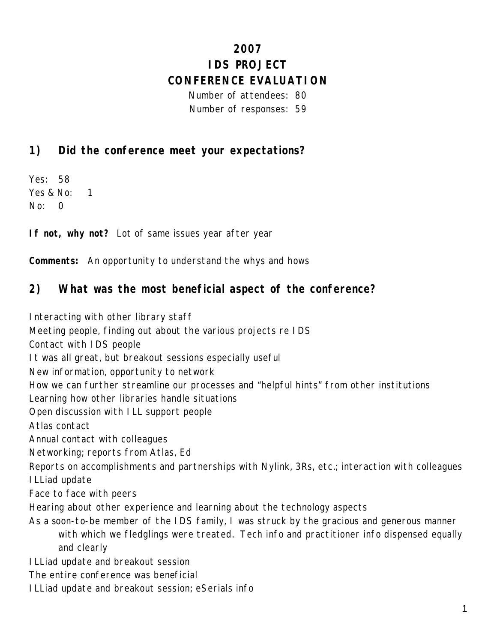# **2007 IDS PROJECT CONFERENCE EVALUATION**

Number of attendees: 80 Number of responses: 59

## **1) Did the conference meet your expectations?**

Yes: 58 Yes & No: 1  $No: 0$ 

**If not, why not?** Lot of same issues year after year

**Comments:** An opportunity to understand the whys and hows

### **2) What was the most beneficial aspect of the conference?**

Interacting with other library staff

Meeting people, finding out about the various projects re IDS

Contact with IDS people

It was all great, but breakout sessions especially useful

New information, opportunity to network

How we can further streamline our processes and "helpful hints" from other institutions

Learning how other libraries handle situations

Open discussion with ILL support people

Atlas contact

Annual contact with colleagues

Networking; reports from Atlas, Ed

Reports on accomplishments and partnerships with Nylink, 3Rs, etc.; interaction with colleagues ILLiad update

Face to face with peers

Hearing about other experience and learning about the technology aspects

As a soon-to-be member of the IDS family, I was struck by the gracious and generous manner with which we fledglings were treated. Tech info and practitioner info dispensed equally and clearly

ILLiad update and breakout session

The entire conference was beneficial

ILLiad update and breakout session; eSerials info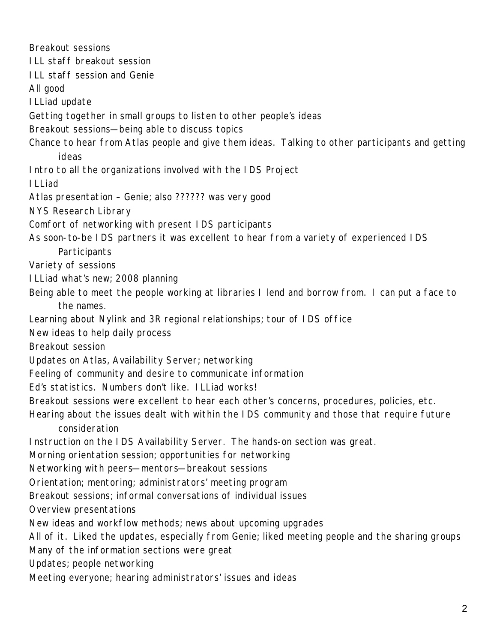Breakout sessions ILL staff breakout session ILL staff session and Genie All good ILLiad update Getting together in small groups to listen to other people's ideas Breakout sessions—being able to discuss topics Chance to hear from Atlas people and give them ideas. Talking to other participants and getting ideas Intro to all the organizations involved with the IDS Project ILLiad Atlas presentation – Genie; also ?????? was very good NYS Research Library Comfort of networking with present IDS participants As soon-to-be IDS partners it was excellent to hear from a variety of experienced IDS **Participants** Variety of sessions ILLiad what's new; 2008 planning Being able to meet the people working at libraries I lend and borrow from. I can put a face to the names. Learning about Nylink and 3R regional relationships; tour of IDS office New ideas to help daily process Breakout session Updates on Atlas, Availability Server; networking Feeling of community and desire to communicate information Ed's statistics. Numbers don't like. ILLiad works! Breakout sessions were excellent to hear each other's concerns, procedures, policies, etc. Hearing about the issues dealt with within the IDS community and those that require future consideration Instruction on the IDS Availability Server. The hands-on section was great. Morning orientation session; opportunities for networking Networking with peers—mentors—breakout sessions Orientation; mentoring; administrators' meeting program Breakout sessions; informal conversations of individual issues Overview presentations New ideas and workflow methods; news about upcoming upgrades All of it. Liked the updates, especially from Genie; liked meeting people and the sharing groups Many of the information sections were great Updates; people networking Meeting everyone; hearing administrators' issues and ideas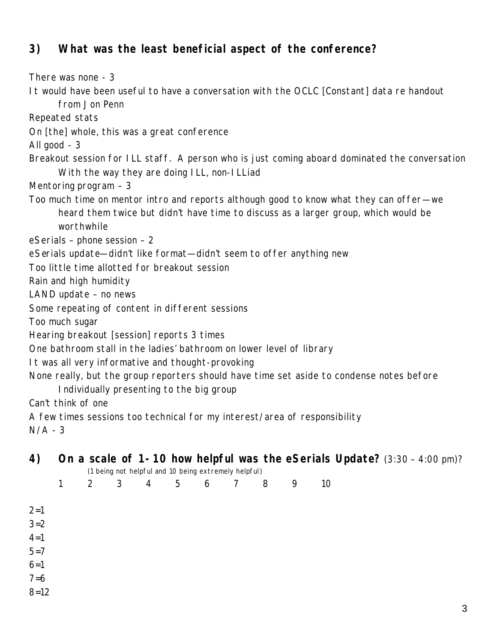## **3) What was the least beneficial aspect of the conference?**

There was none - 3 It would have been useful to have a conversation with the OCLC [Constant] data re handout from Jon Penn Repeated stats On [the] whole, this was a great conference All good - 3 Breakout session for ILL staff. A person who is just coming aboard dominated the conversation With the way they are doing ILL, non-ILLiad Mentoring program – 3 Too much time on mentor intro and reports although good to know what they can offer—we heard them twice but didn't have time to discuss as a larger group, which would be worthwhile eSerials – phone session – 2 eSerials update—didn't like format—didn't seem to offer anything new Too little time allotted for breakout session Rain and high humidity LAND update – no news Some repeating of content in different sessions Too much sugar Hearing breakout [session] reports 3 times One bathroom stall in the ladies' bathroom on lower level of library It was all very informative and thought-provoking None really, but the group reporters should have time set aside to condense notes before Individually presenting to the big group Can't think of one A few times sessions too technical for my interest/area of responsibility  $N/A - 3$ 

| 4)      |   |                |                |                | (1 being not helpful and 10 being extremely helpful) |   |   |   | On a scale of $1-10$ how helpful was the eSerials Update? $(3:30 - 4:00 \text{ pm})$ ? |
|---------|---|----------------|----------------|----------------|------------------------------------------------------|---|---|---|----------------------------------------------------------------------------------------|
|         | 2 | 3 <sup>7</sup> | $\overline{4}$ | 5 <sub>1</sub> | $6^{\circ}$                                          | 7 | 8 | 9 | 10                                                                                     |
| $2=1$   |   |                |                |                |                                                      |   |   |   |                                                                                        |
| $3 = 2$ |   |                |                |                |                                                      |   |   |   |                                                                                        |
| $4 = 1$ |   |                |                |                |                                                      |   |   |   |                                                                                        |
| $5 = 7$ |   |                |                |                |                                                      |   |   |   |                                                                                        |
| $6=1$   |   |                |                |                |                                                      |   |   |   |                                                                                        |
| $7 = 6$ |   |                |                |                |                                                      |   |   |   |                                                                                        |
| $8=12$  |   |                |                |                |                                                      |   |   |   |                                                                                        |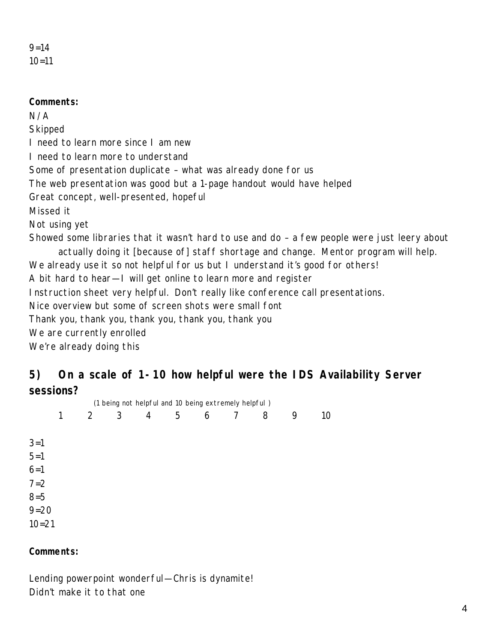$9 = 14$  $10=11$ 

#### **Comments:**

N/A Skipped I need to learn more since I am new I need to learn more to understand Some of presentation duplicate – what was already done for us The web presentation was good but a 1-page handout would have helped Great concept, well-presented, hopeful Missed it Not using yet Showed some libraries that it wasn't hard to use and do – a few people were just leery about actually doing it [because of] staff shortage and change. Mentor program will help. We already use it so not helpful for us but I understand it's good for others! A bit hard to hear—I will get online to learn more and register Instruction sheet very helpful. Don't really like conference call presentations. Nice overview but some of screen shots were small font Thank you, thank you, thank you, thank you, thank you We are currently enrolled We're already doing this

### **5) On a scale of 1-10 how helpful were the IDS Availability Server sessions?**

| (1 being not helpful and 10 being extremely helpful) |                |   |   |                 |   |   |   |   |    |  |  |
|------------------------------------------------------|----------------|---|---|-----------------|---|---|---|---|----|--|--|
| 1                                                    | $\overline{2}$ | 3 | 4 | $5\overline{)}$ | 6 | 7 | 8 | 9 | 10 |  |  |
|                                                      |                |   |   |                 |   |   |   |   |    |  |  |
|                                                      |                |   |   |                 |   |   |   |   |    |  |  |
|                                                      |                |   |   |                 |   |   |   |   |    |  |  |
|                                                      |                |   |   |                 |   |   |   |   |    |  |  |
|                                                      |                |   |   |                 |   |   |   |   |    |  |  |
|                                                      |                |   |   |                 |   |   |   |   |    |  |  |
| $9 = 20$                                             |                |   |   |                 |   |   |   |   |    |  |  |
| $10 = 21$                                            |                |   |   |                 |   |   |   |   |    |  |  |
|                                                      |                |   |   |                 |   |   |   |   |    |  |  |
|                                                      |                |   |   |                 |   |   |   |   |    |  |  |

#### **Comments:**

Lending powerpoint wonderful—Chris is dynamite! Didn't make it to that one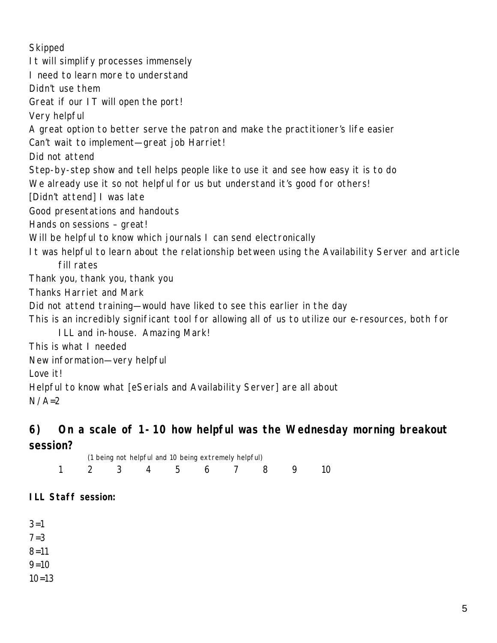**Skipped** It will simplify processes immensely I need to learn more to understand Didn't use them Great if our IT will open the port! Very helpful A great option to better serve the patron and make the practitioner's life easier Can't wait to implement—great job Harriet! Did not attend Step-by-step show and tell helps people like to use it and see how easy it is to do We already use it so not helpful for us but understand it's good for others! [Didn't attend] I was late Good presentations and handouts Hands on sessions – great! Will be helpful to know which journals I can send electronically It was helpful to learn about the relationship between using the Availability Server and article fill rates Thank you, thank you, thank you Thanks Harriet and Mark Did not attend training—would have liked to see this earlier in the day This is an incredibly significant tool for allowing all of us to utilize our e-resources, both for ILL and in-house. Amazing Mark! This is what I needed New information—very helpful Love it! Helpful to know what [eSerials and Availability Server] are all about  $N/A=2$ 

## **6) On a scale of 1-10 how helpful was the Wednesday morning breakout session?**

| (1 being not helpful and 10 being extremely helpful) |  |  |  |  |                   |  |  |  |  |  |  |  |
|------------------------------------------------------|--|--|--|--|-------------------|--|--|--|--|--|--|--|
|                                                      |  |  |  |  | 1 2 3 4 5 6 7 8 9 |  |  |  |  |  |  |  |

### **ILL Staff session:**

 $3 = 1$  $7 = 3$ 8=11  $9 = 10$ 

 $10=13$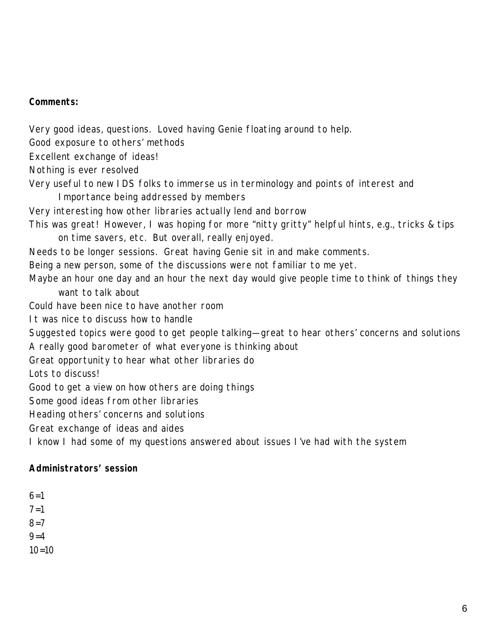#### **Comments:**

Very good ideas, questions. Loved having Genie floating around to help.

Good exposure to others' methods

Excellent exchange of ideas!

Nothing is ever resolved

Very useful to new IDS folks to immerse us in terminology and points of interest and

Importance being addressed by members

Very interesting how other libraries actually lend and borrow

This was great! However, I was hoping for more "nitty gritty" helpful hints, e.g., tricks & tips on time savers, etc. But overall, really enjoyed.

Needs to be longer sessions. Great having Genie sit in and make comments.

Being a new person, some of the discussions were not familiar to me yet.

Maybe an hour one day and an hour the next day would give people time to think of things they want to talk about

Could have been nice to have another room

It was nice to discuss how to handle

Suggested topics were good to get people talking—great to hear others' concerns and solutions A really good barometer of what everyone is thinking about

Great opportunity to hear what other libraries do

Lots to discuss!

Good to get a view on how others are doing things

Some good ideas from other libraries

Heading others' concerns and solutions

Great exchange of ideas and aides

I know I had some of my questions answered about issues I've had with the system

#### **Administrators' session**

 $6=1$  $7 = 1$  $8 = 7$  $9 = 4$  $10=10$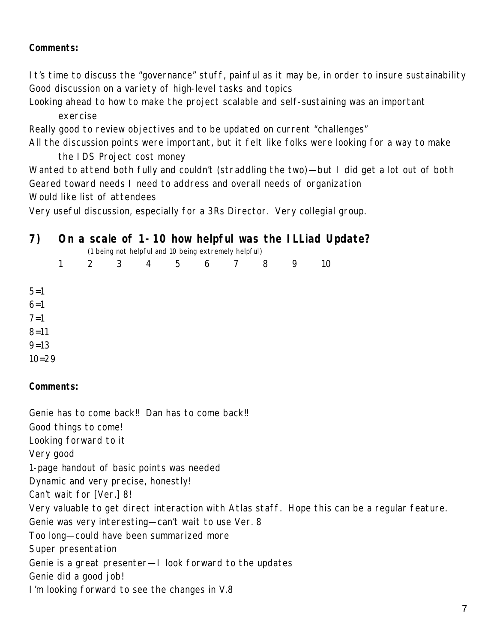#### **Comments:**

It's time to discuss the "governance" stuff, painful as it may be, in order to insure sustainability Good discussion on a variety of high-level tasks and topics

Looking ahead to how to make the project scalable and self-sustaining was an important exercise

Really good to review objectives and to be updated on current "challenges"

All the discussion points were important, but it felt like folks were looking for a way to make

the IDS Project cost money Wanted to attend both fully and couldn't (straddling the two)—but I did get a lot out of both Geared toward needs I need to address and overall needs of organization Would like list of attendees

Very useful discussion, especially for a 3Rs Director. Very collegial group.

### **7) On a scale of 1-10 how helpful was the ILLiad Update?**

|           |              |                | (1 being not helpful and 10 being extremely helpful) |  |         |  |  |   |   |    |  |  |  |
|-----------|--------------|----------------|------------------------------------------------------|--|---------|--|--|---|---|----|--|--|--|
|           | $\mathbf{1}$ | $\overline{2}$ | 3                                                    |  | 4 5 6 7 |  |  | 8 | 9 | 10 |  |  |  |
|           |              |                |                                                      |  |         |  |  |   |   |    |  |  |  |
| $5 = 1$   |              |                |                                                      |  |         |  |  |   |   |    |  |  |  |
| $6 = 1$   |              |                |                                                      |  |         |  |  |   |   |    |  |  |  |
| $7 = 1$   |              |                |                                                      |  |         |  |  |   |   |    |  |  |  |
| $8 = 11$  |              |                |                                                      |  |         |  |  |   |   |    |  |  |  |
| $9 = 13$  |              |                |                                                      |  |         |  |  |   |   |    |  |  |  |
| $10 = 29$ |              |                |                                                      |  |         |  |  |   |   |    |  |  |  |

#### **Comments:**

Genie has to come back!! Dan has to come back!! Good things to come! Looking forward to it Very good 1-page handout of basic points was needed Dynamic and very precise, honestly! Can't wait for [Ver.] 8! Very valuable to get direct interaction with Atlas staff. Hope this can be a regular feature. Genie was very interesting—can't wait to use Ver. 8 Too long—could have been summarized more Super presentation Genie is a great presenter—I look forward to the updates Genie did a good job! I'm looking forward to see the changes in V.8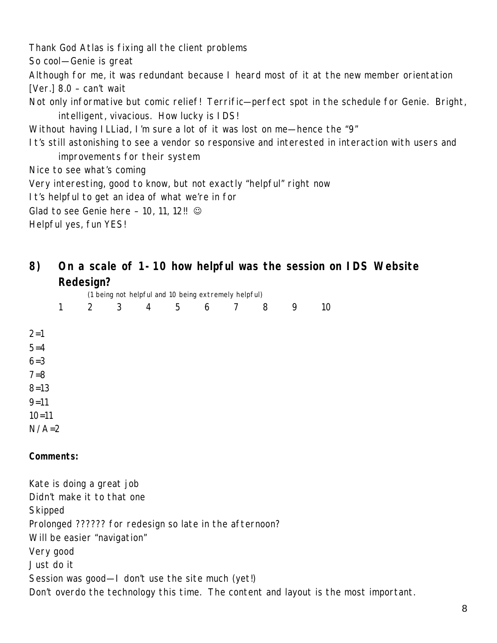Thank God Atlas is fixing all the client problems So cool—Genie is great Although for me, it was redundant because I heard most of it at the new member orientation [Ver.] 8.0 – can't wait Not only informative but comic relief! Terrific—perfect spot in the schedule for Genie. Bright, intelligent, vivacious. How lucky is IDS! Without having ILLiad, I'm sure a lot of it was lost on me—hence the "9" It's still astonishing to see a vendor so responsive and interested in interaction with users and improvements for their system Nice to see what's coming Very interesting, good to know, but not exactly "helpful" right now It's helpful to get an idea of what we're in for Glad to see Genie here - 10, 11, 12!!  $\odot$ Helpful yes, fun YES!

### **8) On a scale of 1-10 how helpful was the session on IDS Website Redesign?**

|           | v<br>(1 being not helpful and 10 being extremely helpful) |                |   |   |   |   |   |   |   |    |  |  |
|-----------|-----------------------------------------------------------|----------------|---|---|---|---|---|---|---|----|--|--|
|           | 1                                                         | $\overline{2}$ | 3 | 4 | 5 | 6 | 7 | 8 | 9 | 10 |  |  |
|           |                                                           |                |   |   |   |   |   |   |   |    |  |  |
| $2=1$     |                                                           |                |   |   |   |   |   |   |   |    |  |  |
| $5 = 4$   |                                                           |                |   |   |   |   |   |   |   |    |  |  |
| $6 = 3$   |                                                           |                |   |   |   |   |   |   |   |    |  |  |
| $7 = 8$   |                                                           |                |   |   |   |   |   |   |   |    |  |  |
| $8 = 13$  |                                                           |                |   |   |   |   |   |   |   |    |  |  |
| $9 = 11$  |                                                           |                |   |   |   |   |   |   |   |    |  |  |
| $10 = 11$ |                                                           |                |   |   |   |   |   |   |   |    |  |  |
| $N/A=2$   |                                                           |                |   |   |   |   |   |   |   |    |  |  |
|           |                                                           |                |   |   |   |   |   |   |   |    |  |  |

#### **Comments:**

Kate is doing a great job Didn't make it to that one **Skipped** Prolonged ?????? for redesign so late in the afternoon? Will be easier "navigation" Very good Just do it Session was good—I don't use the site much (yet!) Don't overdo the technology this time. The content and layout is the most important.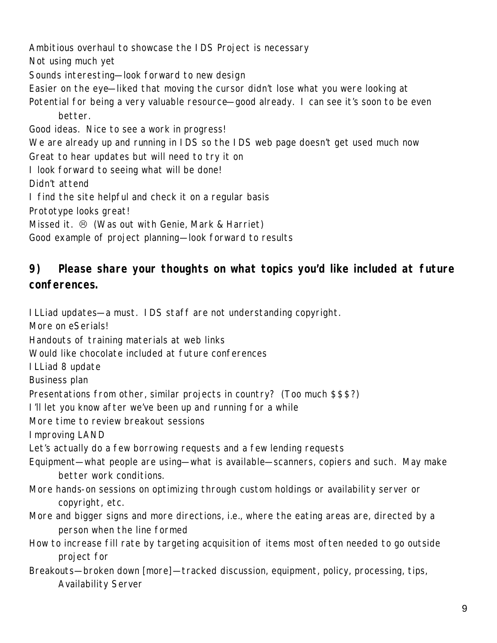Ambitious overhaul to showcase the IDS Project is necessary Not using much yet Sounds interesting—look forward to new design Easier on the eye—liked that moving the cursor didn't lose what you were looking at Potential for being a very valuable resource—good already. I can see it's soon to be even better. Good ideas. Nice to see a work in progress! We are already up and running in IDS so the IDS web page doesn't get used much now Great to hear updates but will need to try it on I look forward to seeing what will be done! Didn't attend I find the site helpful and check it on a regular basis Prototype looks great! Missed it.  $\odot$  (Was out with Genie, Mark & Harriet) Good example of project planning—look forward to results

## **9) Please share your thoughts on what topics you'd like included at future conferences.**

ILLiad updates—a must. IDS staff are not understanding copyright.

More on eSerials!

Handouts of training materials at web links

Would like chocolate included at future conferences

ILLiad 8 update

Business plan

Presentations from other, similar projects in country? (Too much \$\$\$?)

I'll let you know after we've been up and running for a while

More time to review breakout sessions

Improving LAND

Let's actually do a few borrowing requests and a few lending requests

Equipment—what people are using—what is available—scanners, copiers and such. May make better work conditions.

More hands-on sessions on optimizing through custom holdings or availability server or copyright, etc.

More and bigger signs and more directions, i.e., where the eating areas are, directed by a person when the line formed

How to increase fill rate by targeting acquisition of items most often needed to go outside project for

Breakouts—broken down [more]—tracked discussion, equipment, policy, processing, tips, Availability Server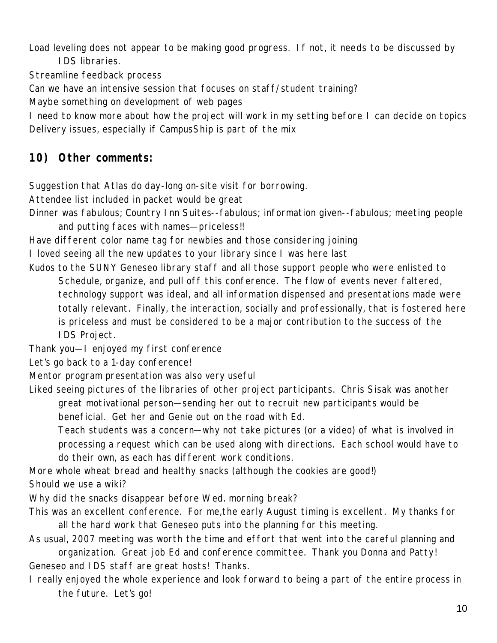Load leveling does not appear to be making good progress. If not, it needs to be discussed by IDS libraries.

Streamline feedback process

Can we have an intensive session that focuses on staff/student training?

Maybe something on development of web pages

I need to know more about how the project will work in my setting before I can decide on topics Delivery issues, especially if CampusShip is part of the mix

# **10) Other comments:**

Suggestion that Atlas do day-long on-site visit for borrowing.

Attendee list included in packet would be great

Dinner was fabulous; Country Inn Suites--fabulous; information given--fabulous; meeting people and putting faces with names—priceless!!

Have different color name tag for newbies and those considering joining

I loved seeing all the new updates to your library since I was here last

Kudos to the SUNY Geneseo library staff and all those support people who were enlisted to Schedule, organize, and pull off this conference. The flow of events never faltered, technology support was ideal, and all information dispensed and presentations made were totally relevant. Finally, the interaction, socially and professionally, that is fostered here is priceless and must be considered to be a major contribution to the success of the IDS Project.

Thank you—I enjoyed my first conference

Let's go back to a 1-day conference!

Mentor program presentation was also very useful

Liked seeing pictures of the libraries of other project participants. Chris Sisak was another great motivational person—sending her out to recruit new participants would be beneficial. Get her and Genie out on the road with Ed.

Teach students was a concern—why not take pictures (or a video) of what is involved in processing a request which can be used along with directions. Each school would have to do their own, as each has different work conditions.

More whole wheat bread and healthy snacks (although the cookies are good!) Should we use a wiki?

Why did the snacks disappear before Wed. morning break?

- This was an excellent conference. For me,the early August timing is excellent. My thanks for all the hard work that Geneseo puts into the planning for this meeting.
- As usual, 2007 meeting was worth the time and effort that went into the careful planning and organization. Great job Ed and conference committee. Thank you Donna and Patty!
- Geneseo and IDS staff are great hosts! Thanks.
- I really enjoyed the whole experience and look forward to being a part of the entire process in the future. Let's go!